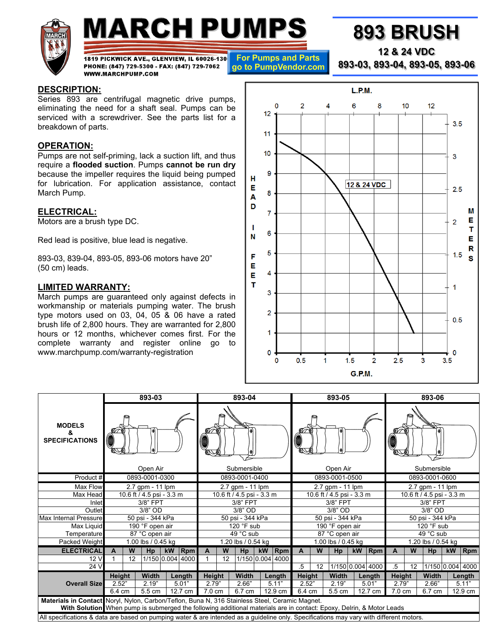

# **MARCH PUMPS**

**For Pumps and Parts** 

1819 PICKWICK AVE., GLENVIEW, IL 60026-130 PHONE: (847) 729-5300 - FAX: (847) 729-7062 go to PumpVendor.com WWW.MARCHPUMP.COM

#### **DESCRIPTION:**

Series 893 are centrifugal magnetic drive pumps, eliminating the need for a shaft seal. Pumps can be serviced with a screwdriver. See the parts list for a breakdown of parts.

### **OPERATION:**

Pumps are not self-priming, lack a suction lift, and thus require a **flooded suction**. Pumps **cannot be run dry** because the impeller requires the liquid being pumped for lubrication. For application assistance, contact March Pump.

#### **ELECTRICAL:**

Motors are a brush type DC.

Red lead is positive, blue lead is negative.

893-03, 839-04, 893-05, 893-06 motors have 20" (50 cm) leads.

#### **LIMITED WARRANTY:**

March pumps are guaranteed only against defects in workmanship or materials pumping water. The brush type motors used on 03, 04, 05 & 06 have a rated brush life of 2,800 hours. They are warranted for 2,800 hours or 12 months, whichever comes first. For the complete warranty and register online go to www.marchpump.com/warranty-registration



|                                                                                                                                         | 893-03                      |    |        |    |                  | 893-04                    |    |        |                  | 893-05                    |              |    |                        | 893-06                    |                  |                  |                 |                 |           |                  |
|-----------------------------------------------------------------------------------------------------------------------------------------|-----------------------------|----|--------|----|------------------|---------------------------|----|--------|------------------|---------------------------|--------------|----|------------------------|---------------------------|------------------|------------------|-----------------|-----------------|-----------|------------------|
| <b>MODELS</b><br>&<br><b>SPECIFICATIONS</b>                                                                                             |                             |    |        |    |                  |                           |    |        |                  |                           |              |    |                        |                           |                  |                  |                 |                 |           |                  |
|                                                                                                                                         | Open Air                    |    |        |    | Submersible      |                           |    |        | Open Air         |                           |              |    | Submersible            |                           |                  |                  |                 |                 |           |                  |
| Product #                                                                                                                               | 0893-0001-0300              |    |        |    | 0893-0001-0400   |                           |    |        | 0893-0001-0500   |                           |              |    | 0893-0001-0600         |                           |                  |                  |                 |                 |           |                  |
| Max Flow                                                                                                                                | 2.7 gpm - 11 lpm            |    |        |    |                  | 2.7 gpm - 11 lpm          |    |        |                  | 2.7 gpm - 11 lpm          |              |    |                        | 2.7 gpm - 11 lpm          |                  |                  |                 |                 |           |                  |
| Max Head                                                                                                                                | $10.6$ ft / 4.5 psi - 3.3 m |    |        |    |                  | 10.6 ft / 4.5 psi - 3.3 m |    |        |                  | 10.6 ft / 4.5 psi - 3.3 m |              |    |                        | 10.6 ft / 4.5 psi - 3.3 m |                  |                  |                 |                 |           |                  |
| Inlet                                                                                                                                   | 3/8" FPT                    |    |        |    |                  | 3/8" FPT                  |    |        |                  | 3/8" FPT                  |              |    |                        | 3/8" FPT                  |                  |                  |                 |                 |           |                  |
| Outlet                                                                                                                                  | $3/8"$ OD                   |    |        |    | 3/8" OD          |                           |    |        | 3/8" OD          |                           |              |    | 3/8" OD                |                           |                  |                  |                 |                 |           |                  |
| Max Internal Pressure                                                                                                                   | 50 psi - 344 kPa            |    |        |    | 50 psi - 344 kPa |                           |    |        | 50 psi - 344 kPa |                           |              |    | 50 psi - 344 kPa       |                           |                  |                  |                 |                 |           |                  |
| Max Liquid                                                                                                                              | 190 °F open air             |    |        |    | $120$ °F sub     |                           |    |        | 190 °F open air  |                           |              |    | 120 $^{\circ}$ F sub   |                           |                  |                  |                 |                 |           |                  |
| Temperature                                                                                                                             | 87 °C open air              |    |        |    | 49 °C sub        |                           |    |        | 87 °C open air   |                           |              |    | 49 °C sub              |                           |                  |                  |                 |                 |           |                  |
| Packed Weight                                                                                                                           | 1.00 lbs / 0.45 kg          |    |        |    |                  | 1.20 lbs / 0.54 kg        |    |        |                  | 1.00 lbs / 0.45 kg        |              |    |                        | 1.20 lbs / 0.54 kg        |                  |                  |                 |                 |           |                  |
| <b>ELECTRICAL</b>                                                                                                                       | A                           | W  | Hp     | kW | $ R$ pm          | A                         | W  | Hp     | kW               | Rpm                       | $\mathbf{A}$ | W  | Hp                     | <b>kW</b>                 | <b>Rpm</b>       | A                | W               | Hp              | <b>kW</b> | <b>Rpm</b>       |
| 12 V                                                                                                                                    |                             | 12 |        |    | 1/150 0.004 4000 |                           | 12 |        |                  | 1/150 0.004 4000          |              |    |                        |                           |                  |                  |                 |                 |           |                  |
| 24 V                                                                                                                                    |                             |    |        |    |                  |                           |    |        |                  |                           | $.5\,$       | 12 |                        |                           | 1/150 0.004 4000 | $.5\,$           | 12 <sup>°</sup> |                 |           | 1/150 0.004 4000 |
|                                                                                                                                         | Height                      |    | Width  |    | Length           | Height                    |    | Width  |                  | Length                    | Height       |    | <b>Width</b><br>Length |                           |                  | Height           |                 | Width<br>Length |           |                  |
| <b>Overall Size</b>                                                                                                                     | 2.52"                       |    | 2.19"  |    | 5.01"            | 2.79"                     |    | 2.66"  |                  | 5.11"                     | 2.52"        |    | 2.19"                  |                           | 5.01"            | 2.79"            |                 | 2.66"           |           | 5.11"            |
|                                                                                                                                         | 6.4 cm                      |    | 5.5 cm |    | 12.7 cm          | $7.0 \text{ cm}$          |    | 6.7 cm | 12.9 cm          |                           | 6.4 cm       |    | 5.5 cm                 |                           | 12.7 cm          | $7.0 \text{ cm}$ |                 | 6.7 cm          |           | 12.9 cm          |
| Materials in Contact Noryl, Nylon, Carbon/Teflon, Buna N, 316 Stainless Steel, Ceramic Magnet.                                          |                             |    |        |    |                  |                           |    |        |                  |                           |              |    |                        |                           |                  |                  |                 |                 |           |                  |
| With Solution When pump is submerged the following additional materials are in contact: Epoxy, Delrin, & Motor Leads                    |                             |    |        |    |                  |                           |    |        |                  |                           |              |    |                        |                           |                  |                  |                 |                 |           |                  |
| All specifications & data are based on pumping water & are intended as a guideline only. Specifications may vary with different motors. |                             |    |        |    |                  |                           |    |        |                  |                           |              |    |                        |                           |                  |                  |                 |                 |           |                  |

## **893 BRUSH**

**12 & 24 VDC** 

**893-03, 893-04, 893-05, 893-06**